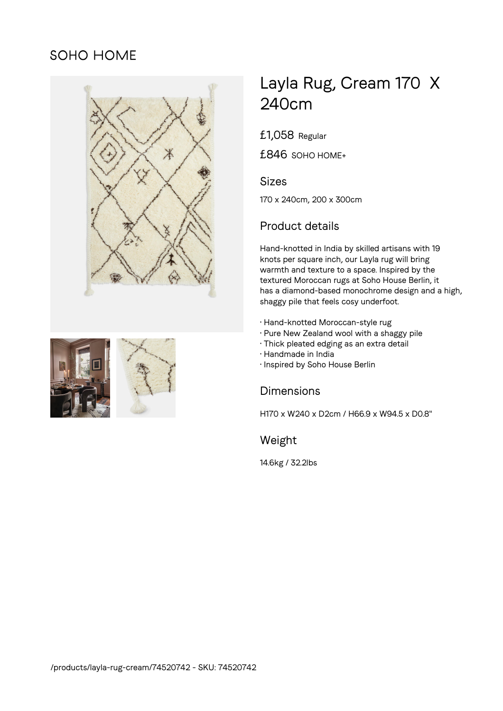# SOHO HOME





# Layla Rug, Cream 170 X 240cm

£1,058 Regular

£846 SOHO HOME+

#### Sizes

170 x 240cm, 200 x 300cm

# Product details

Hand-knotted in India by skilled artisans with 19 knots per square inch, our Layla rug will bring warmth and texture to a space. Inspired by the textured Moroccan rugs at Soho House Berlin, it has a diamond-based monochrome design and a high, shaggy pile that feels cosy underfoot.

- Hand-knotted Moroccan-style rug
- Pure New Zealand wool with a shaggy pile
- Thick pleated edging as an extra detail
- Handmade in India
- Inspired by Soho House Berlin

### Dimensions

H170 x W240 x D2cm / H66.9 x W94.5 x D0.8"

## Weight

14.6kg / 32.2lbs